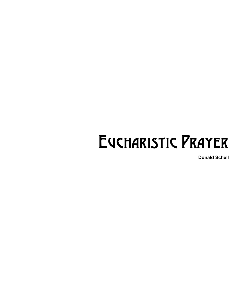## Eucharistic Prayer

**Donald Schell**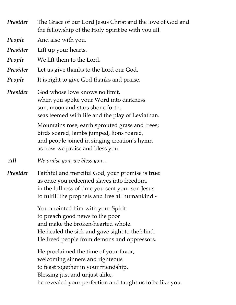*Presider* The Grace of our Lord Jesus Christ and the love of God and the fellowship of the Holy Spirit be with you all. *People* And also with you. *Presider* Lift up your hearts.

*People* We lift them to the Lord.

*Presider* Let us give thanks to the Lord our God.

**People** It is right to give God thanks and praise.

*Presider* God whose love knows no limit, when you spoke your Word into darkness sun, moon and stars shone forth, seas teemed with life and the play of Leviathan.

> Mountains rose, earth sprouted grass and trees; birds soared, lambs jumped, lions roared, and people joined in singing creation's hymn as now we praise and bless you.

*All We praise you, we bless you…*

*Presider* Faithful and merciful God, your promise is true: as once you redeemed slaves into freedom, in the fullness of time you sent your son Jesus to fulfill the prophets and free all humankind -

> You anointed him with your Spirit to preach good news to the poor and make the broken-hearted whole. He healed the sick and gave sight to the blind. He freed people from demons and oppressors.

He proclaimed the time of your favor, welcoming sinners and righteous to feast together in your friendship. Blessing just and unjust alike, he revealed your perfection and taught us to be like you.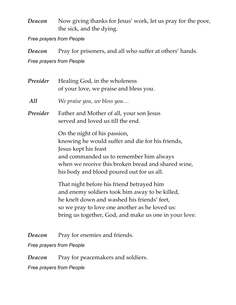*Deacon* Now giving thanks for Jesus' work, let us pray for the poor, the sick, and the dying.

*Free prayers from People* 

*Deacon* Pray for prisoners, and all who suffer at others' hands.

*Free prayers from People* 

*Presider* Healing God, in the wholeness of your love, we praise and bless you.

*All We praise you, we bless you…*

*Presider* Father and Mother of all, your son Jesus served and loved us till the end.

> On the night of his passion, knowing he would suffer and die for his friends, Jesus kept his feast and commanded us to remember him always when we receive this broken bread and shared wine, his body and blood poured out for us all.

That night before his friend betrayed him and enemy soldiers took him away to be killed, he knelt down and washed his friends' feet, so we pray to love one another as he loved us: bring us together, God, and make us one in your love.

*Deacon* Pray for enemies and friends.

*Free prayers from People* 

*Deacon* Pray for peacemakers and soldiers.

*Free prayers from People*